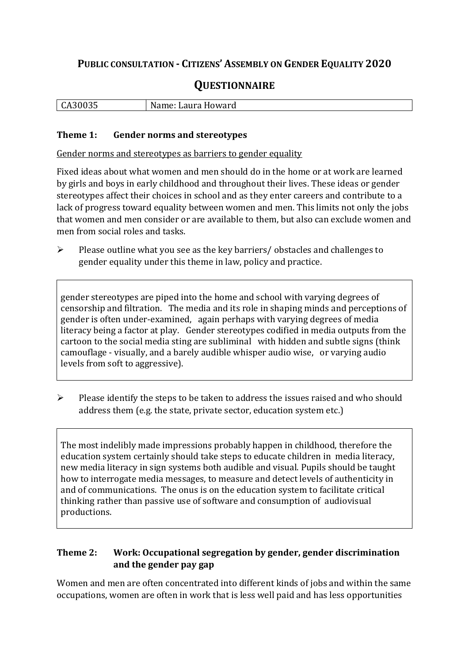## **PUBLIC CONSULTATION - CITIZENS' ASSEMBLY ON GENDER EQUALITY 2020**

# **QUESTIONNAIRE**

| ำก.<br>นหวบบวว | N⊴<br>Laura Howard<br>Name: |
|----------------|-----------------------------|
|                |                             |

#### **Theme 1: Gender norms and stereotypes**

Gender norms and stereotypes as barriers to gender equality

Fixed ideas about what women and men should do in the home or at work are learned by girls and boys in early childhood and throughout their lives. These ideas or gender stereotypes affect their choices in school and as they enter careers and contribute to a lack of progress toward equality between women and men. This limits not only the jobs that women and men consider or are available to them, but also can exclude women and men from social roles and tasks.

➢ Please outline what you see as the key barriers/ obstacles and challenges to gender equality under this theme in law, policy and practice.

gender stereotypes are piped into the home and school with varying degrees of censorship and filtration. The media and its role in shaping minds and perceptions of gender is often under-examined, again perhaps with varying degrees of media literacy being a factor at play. Gender stereotypes codified in media outputs from the cartoon to the social media sting are subliminal with hidden and subtle signs (think camouflage - visually, and a barely audible whisper audio wise, or varying audio levels from soft to aggressive).

➢ Please identify the steps to be taken to address the issues raised and who should address them (e.g. the state, private sector, education system etc.)

The most indelibly made impressions probably happen in childhood, therefore the education system certainly should take steps to educate children in media literacy, new media literacy in sign systems both audible and visual. Pupils should be taught how to interrogate media messages, to measure and detect levels of authenticity in and of communications. The onus is on the education system to facilitate critical thinking rather than passive use of software and consumption of audiovisual productions.

#### **Theme 2: Work: Occupational segregation by gender, gender discrimination and the gender pay gap**

Women and men are often concentrated into different kinds of jobs and within the same occupations, women are often in work that is less well paid and has less opportunities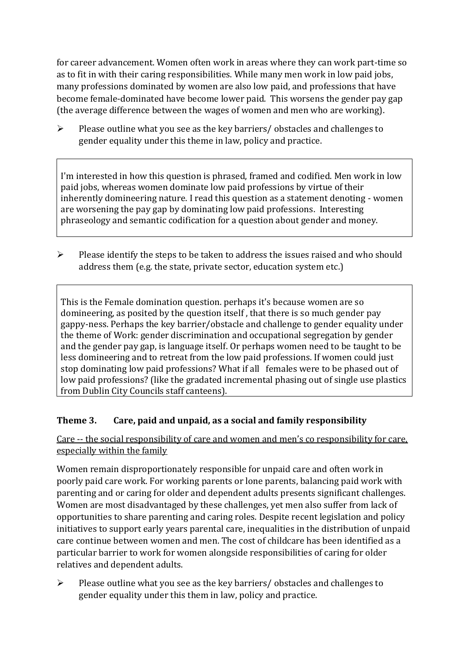for career advancement. Women often work in areas where they can work part-time so as to fit in with their caring responsibilities. While many men work in low paid jobs, many professions dominated by women are also low paid, and professions that have become female-dominated have become lower paid. This worsens the gender pay gap (the average difference between the wages of women and men who are working).

➢ Please outline what you see as the key barriers/ obstacles and challenges to gender equality under this theme in law, policy and practice.

I'm interested in how this question is phrased, framed and codified. Men work in low paid jobs, whereas women dominate low paid professions by virtue of their inherently domineering nature. I read this question as a statement denoting - women are worsening the pay gap by dominating low paid professions. Interesting phraseology and semantic codification for a question about gender and money.

➢ Please identify the steps to be taken to address the issues raised and who should address them (e.g. the state, private sector, education system etc.)

This is the Female domination question. perhaps it's because women are so domineering, as posited by the question itself , that there is so much gender pay gappy-ness. Perhaps the key barrier/obstacle and challenge to gender equality under the theme of Work: gender discrimination and occupational segregation by gender and the gender pay gap, is language itself. Or perhaps women need to be taught to be less domineering and to retreat from the low paid professions. If women could just stop dominating low paid professions? What if all females were to be phased out of low paid professions? (like the gradated incremental phasing out of single use plastics from Dublin City Councils staff canteens).

### **Theme 3. Care, paid and unpaid, as a social and family responsibility**

Care -- the social responsibility of care and women and men's co responsibility for care, especially within the family

Women remain disproportionately responsible for unpaid care and often work in poorly paid care work. For working parents or [lone parents,](https://aran.library.nuigalway.ie/bitstream/handle/10379/6044/Millar_and_Crosse_Activation_Report.pdf?sequence=1&isAllowed=y) balancing paid work with parenting and or caring for older and dependent adults presents significant challenges. Women are [most disadvantaged by these challenges,](https://eige.europa.eu/gender-equality-index/game/IE/W) yet men also suffer from lack of opportunities to share parenting and caring roles. Despite recent legislation and policy initiatives to support early years parental care, [inequalities in the distribution of unpaid](https://www.ihrec.ie/app/uploads/2019/07/Caring-and-Unpaid-Work-in-Ireland_Final.pdf)  [care](https://www.ihrec.ie/app/uploads/2019/07/Caring-and-Unpaid-Work-in-Ireland_Final.pdf) continue between women and men. The cost of childcare has been identified as a particular barrier to work for women alongside responsibilities of caring for older relatives and dependent adults.

 $\triangleright$  Please outline what you see as the key barriers/ obstacles and challenges to gender equality under this them in law, policy and practice.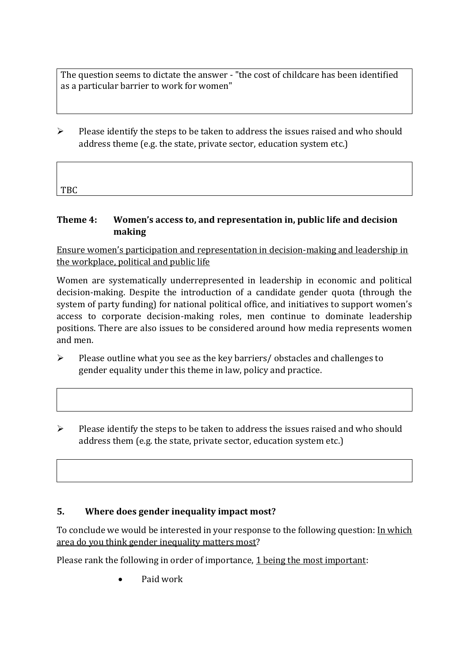The question seems to dictate the answer - "the cost of childcare has been identified as a particular barrier to work for women"

 $\triangleright$  Please identify the steps to be taken to address the issues raised and who should address theme (e.g. the state, private sector, education system etc.)

| TBC |  |  |  |
|-----|--|--|--|

#### **Theme 4: Women's access to, and representation in, public life and decision making**

Ensure women's participation and representation in decision-making and leadership in the workplace, political and public life

Women are systematically underrepresented in leadership in [economic](https://eige.europa.eu/gender-equality-index/2019/compare-countries/power/2/bar) and [political](https://eige.europa.eu/gender-equality-index/2019/compare-countries/power/1/bar)  [decision-](https://eige.europa.eu/gender-equality-index/2019/compare-countries/power/1/bar)making. Despite the introduction of a candidate gender quota (through the system of party funding) for national political office, and [initiatives](https://betterbalance.ie/) to support women's access to corporate decision-making roles, men continue to dominate leadership positions. There are also issues to be considered around how media represents women and men.

- ➢ Please outline what you see as the key barriers/ obstacles and challenges to gender equality under this theme in law, policy and practice.
- $\triangleright$  Please identify the steps to be taken to address the issues raised and who should address them (e.g. the state, private sector, education system etc.)

#### **5. Where does gender inequality impact most?**

To conclude we would be interested in your response to the following question: In which area do you think gender inequality matters most?

Please rank the following in order of importance, 1 being the most important:

• Paid work